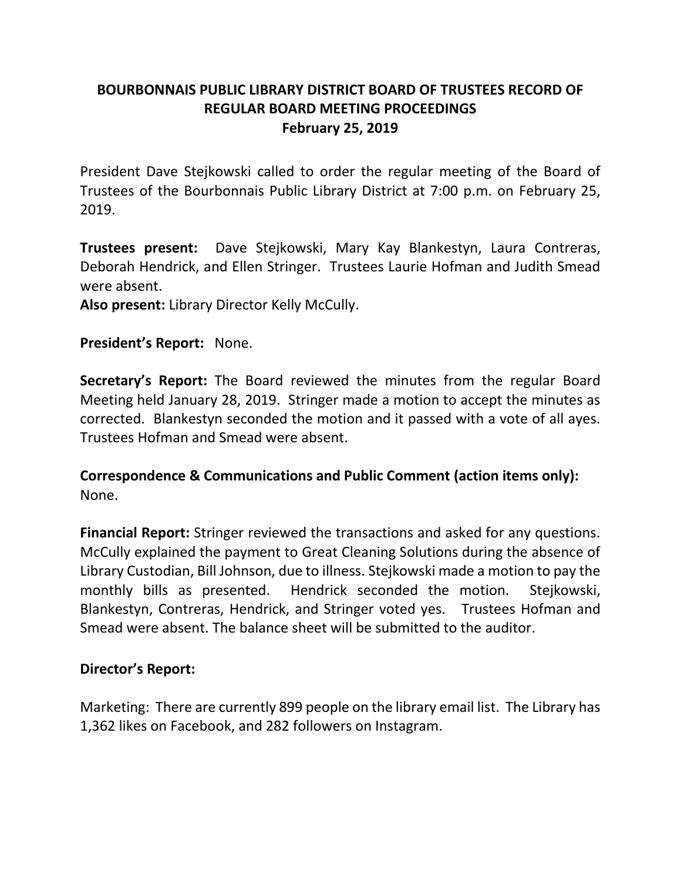# **BOURBONNAIS PUBLIC LIBRARY DISTRICT BOARD OF TRUSTEES RECORD OF REGULAR BOARD MEETING PROCEEDINGS February 25, 2019**

President Dave Stejkowski called to order the regular meeting of the Board of Trustees of the Bourbonnais Public Library District at 7:00 p.m. on February 25, 2019.

**Trustees present:** Dave Stejkowski, Mary Kay Blankestyn, Laura Contreras, Deborah Hendrick, and Ellen Stringer. Trustees Laurie Hofman and Judith Smead were absent.

**Also present:** Library Director Kelly McCully.

**President's Report:** None.

**Secretary's Report:** The Board reviewed the minutes from the regular Board Meeting held January 28, 2019. Stringer made a motion to accept the minutes as corrected. Blankestyn seconded the motion and it passed with a vote of all ayes. Trustees Hofman and Smead were absent.

**Correspondence & Communications and Public Comment (action items only):** None.

**Financial Report:** Stringer reviewed the transactions and asked for any questions. McCully explained the payment to Great Cleaning Solutions during the absence of Library Custodian, Bill Johnson, due to illness. Stejkowski made a motion to pay the monthly bills as presented. Hendrick seconded the motion. Stejkowski, Blankestyn, Contreras, Hendrick, and Stringer voted yes. Trustees Hofman and Smead were absent. The balance sheet will be submitted to the auditor.

#### **Director's Report:**

Marketing: There are currently 899 people on the library email list. The Library has 1,362 likes on Facebook, and 282 followers on Instagram.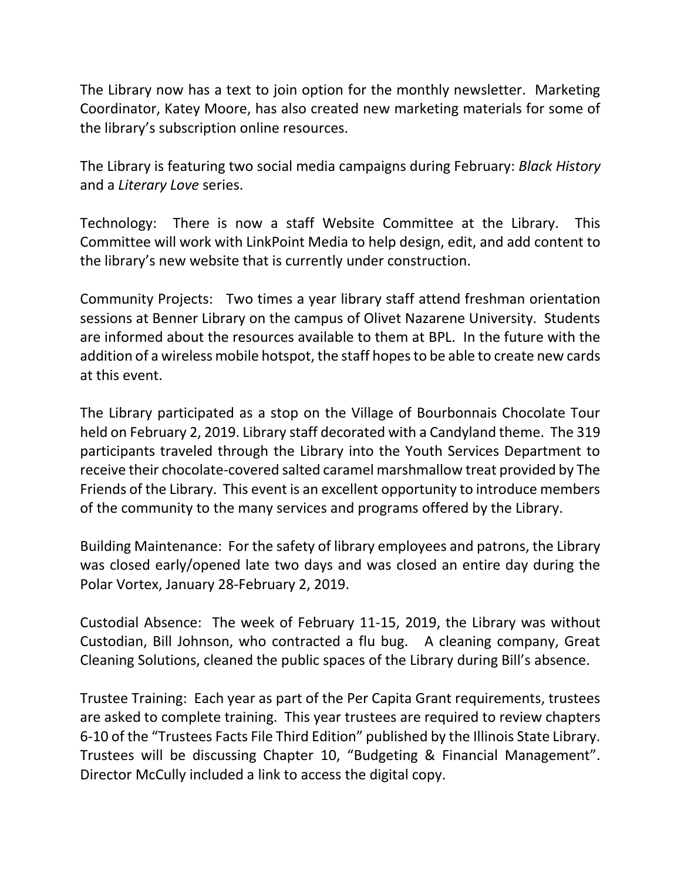The Library now has a text to join option for the monthly newsletter. Marketing Coordinator, Katey Moore, has also created new marketing materials for some of the library's subscription online resources.

The Library is featuring two social media campaigns during February: *Black History* and a *Literary Love* series.

Technology: There is now a staff Website Committee at the Library. This Committee will work with LinkPoint Media to help design, edit, and add content to the library's new website that is currently under construction.

Community Projects: Two times a year library staff attend freshman orientation sessions at Benner Library on the campus of Olivet Nazarene University. Students are informed about the resources available to them at BPL. In the future with the addition of a wireless mobile hotspot, the staff hopes to be able to create new cards at this event.

The Library participated as a stop on the Village of Bourbonnais Chocolate Tour held on February 2, 2019. Library staff decorated with a Candyland theme. The 319 participants traveled through the Library into the Youth Services Department to receive their chocolate-covered salted caramel marshmallow treat provided by The Friends of the Library. This event is an excellent opportunity to introduce members of the community to the many services and programs offered by the Library.

Building Maintenance: For the safety of library employees and patrons, the Library was closed early/opened late two days and was closed an entire day during the Polar Vortex, January 28-February 2, 2019.

Custodial Absence: The week of February 11-15, 2019, the Library was without Custodian, Bill Johnson, who contracted a flu bug. A cleaning company, Great Cleaning Solutions, cleaned the public spaces of the Library during Bill's absence.

Trustee Training: Each year as part of the Per Capita Grant requirements, trustees are asked to complete training. This year trustees are required to review chapters 6-10 of the "Trustees Facts File Third Edition" published by the Illinois State Library. Trustees will be discussing Chapter 10, "Budgeting & Financial Management". Director McCully included a link to access the digital copy.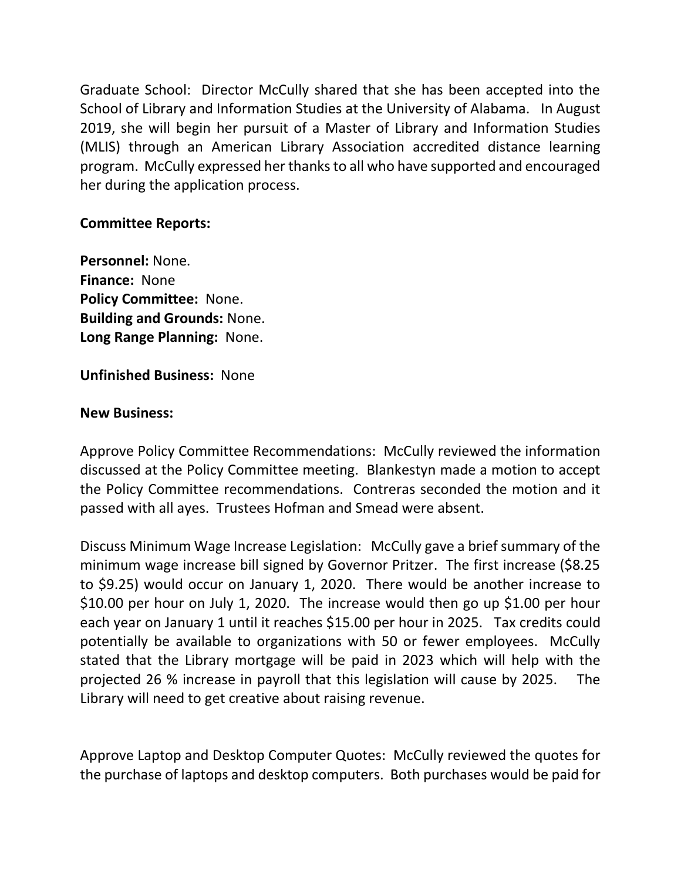Graduate School: Director McCully shared that she has been accepted into the School of Library and Information Studies at the University of Alabama. In August 2019, she will begin her pursuit of a Master of Library and Information Studies (MLIS) through an American Library Association accredited distance learning program. McCully expressed her thanks to all who have supported and encouraged her during the application process.

#### **Committee Reports:**

**Personnel:** None. **Finance:** None **Policy Committee:** None. **Building and Grounds:** None. **Long Range Planning:** None.

**Unfinished Business:** None

#### **New Business:**

Approve Policy Committee Recommendations: McCully reviewed the information discussed at the Policy Committee meeting. Blankestyn made a motion to accept the Policy Committee recommendations. Contreras seconded the motion and it passed with all ayes. Trustees Hofman and Smead were absent.

Discuss Minimum Wage Increase Legislation: McCully gave a brief summary of the minimum wage increase bill signed by Governor Pritzer. The first increase (\$8.25 to \$9.25) would occur on January 1, 2020. There would be another increase to \$10.00 per hour on July 1, 2020. The increase would then go up \$1.00 per hour each year on January 1 until it reaches \$15.00 per hour in 2025. Tax credits could potentially be available to organizations with 50 or fewer employees. McCully stated that the Library mortgage will be paid in 2023 which will help with the projected 26 % increase in payroll that this legislation will cause by 2025. The Library will need to get creative about raising revenue.

Approve Laptop and Desktop Computer Quotes: McCully reviewed the quotes for the purchase of laptops and desktop computers. Both purchases would be paid for